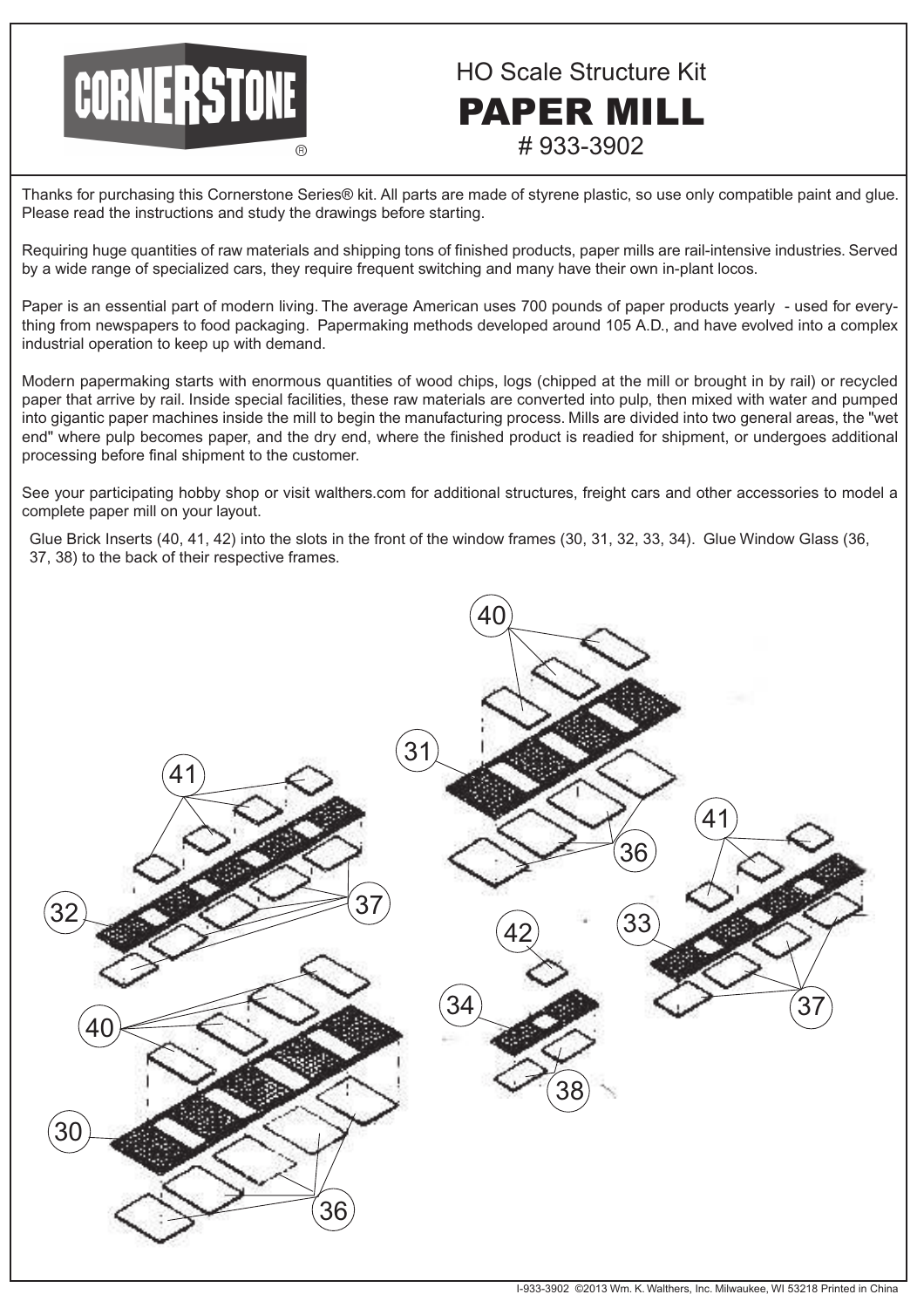

HO Scale Structure Kit PAPER MILL # 933-3902

Thanks for purchasing this Cornerstone Series® kit. All parts are made of styrene plastic, so use only compatible paint and glue. Please read the instructions and study the drawings before starting.

Requiring huge quantities of raw materials and shipping tons of finished products, paper mills are rail-intensive industries. Served by a wide range of specialized cars, they require frequent switching and many have their own in-plant locos.

Paper is an essential part of modern living. The average American uses 700 pounds of paper products yearly - used for everything from newspapers to food packaging. Papermaking methods developed around 105 A.D., and have evolved into a complex industrial operation to keep up with demand.

Modern papermaking starts with enormous quantities of wood chips, logs (chipped at the mill or brought in by rail) or recycled paper that arrive by rail. Inside special facilities, these raw materials are converted into pulp, then mixed with water and pumped into gigantic paper machines inside the mill to begin the manufacturing process. Mills are divided into two general areas, the "wet end" where pulp becomes paper, and the dry end, where the finished product is readied for shipment, or undergoes additional processing before final shipment to the customer.

See your participating hobby shop or visit walthers.com for additional structures, freight cars and other accessories to model a complete paper mill on your layout.

Glue Brick Inserts (40, 41, 42) into the slots in the front of the window frames (30, 31, 32, 33, 34). Glue Window Glass (36, 37, 38) to the back of their respective frames.

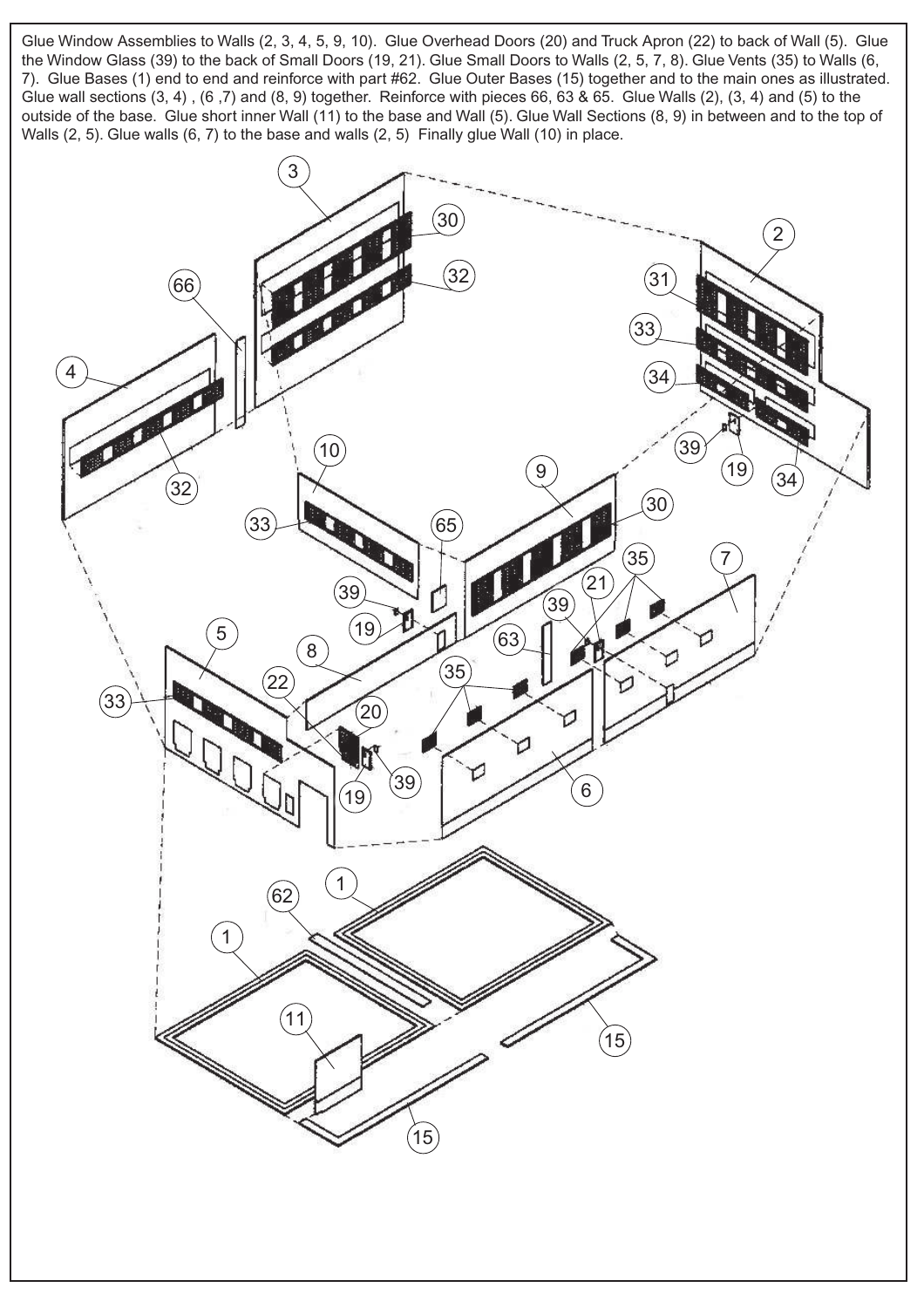Glue Window Assemblies to Walls (2, 3, 4, 5, 9, 10). Glue Overhead Doors (20) and Truck Apron (22) to back of Wall (5). Glue the Window Glass (39) to the back of Small Doors (19, 21). Glue Small Doors to Walls (2, 5, 7, 8). Glue Vents (35) to Walls (6, 7). Glue Bases (1) end to end and reinforce with part #62. Glue Outer Bases (15) together and to the main ones as illustrated. Glue wall sections (3, 4) , (6 ,7) and (8, 9) together. Reinforce with pieces 66, 63 & 65. Glue Walls (2), (3, 4) and (5) to the outside of the base. Glue short inner Wall (11) to the base and Wall (5). Glue Wall Sections (8, 9) in between and to the top of Walls (2, 5). Glue walls (6, 7) to the base and walls (2, 5) Finally glue Wall (10) in place.

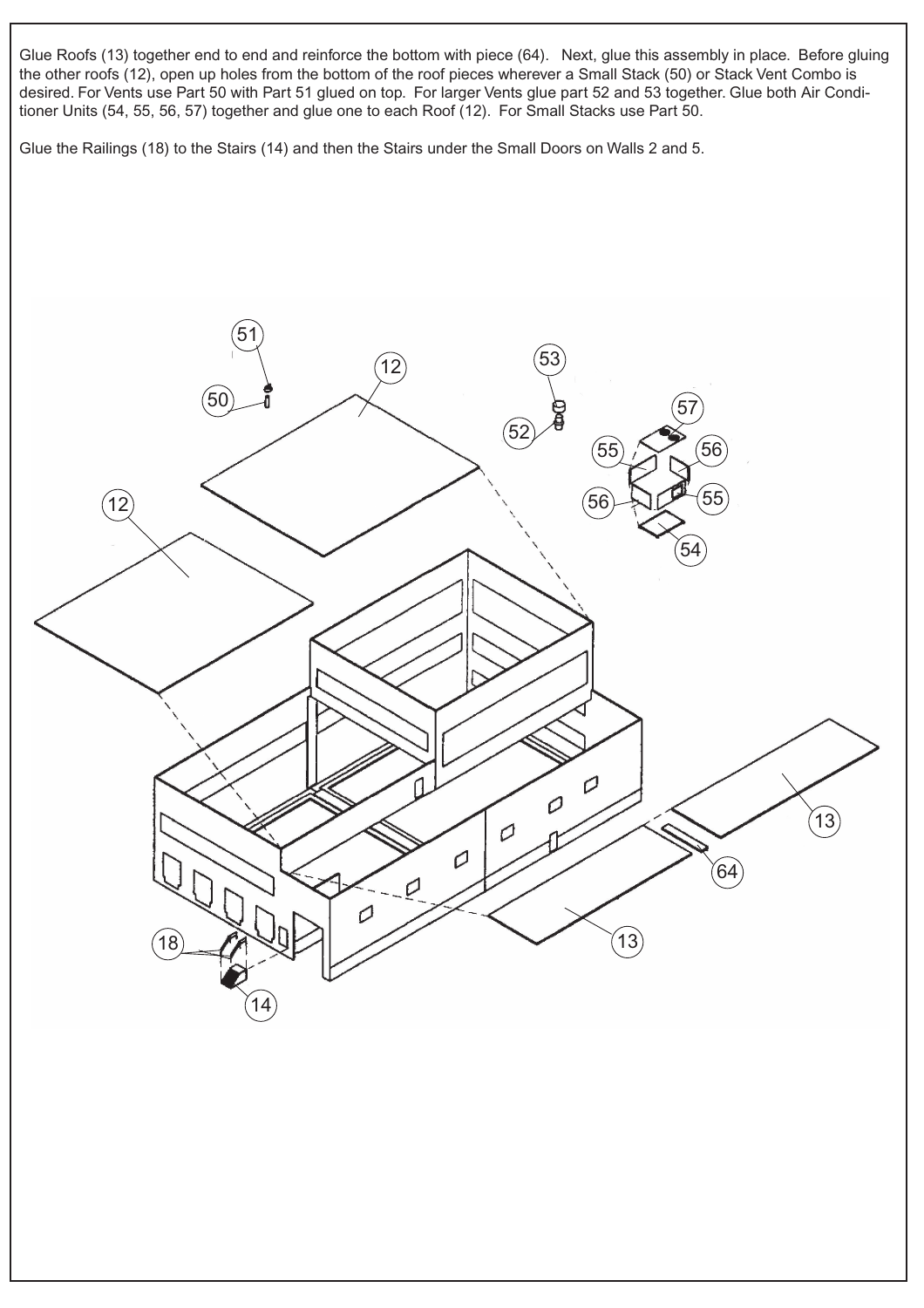Glue Roofs (13) together end to end and reinforce the bottom with piece (64). Next, glue this assembly in place. Before gluing the other roofs (12), open up holes from the bottom of the roof pieces wherever a Small Stack (50) or Stack Vent Combo is desired. For Vents use Part 50 with Part 51 glued on top. For larger Vents glue part 52 and 53 together. Glue both Air Conditioner Units (54, 55, 56, 57) together and glue one to each Roof (12). For Small Stacks use Part 50.

Glue the Railings (18) to the Stairs (14) and then the Stairs under the Small Doors on Walls 2 and 5.